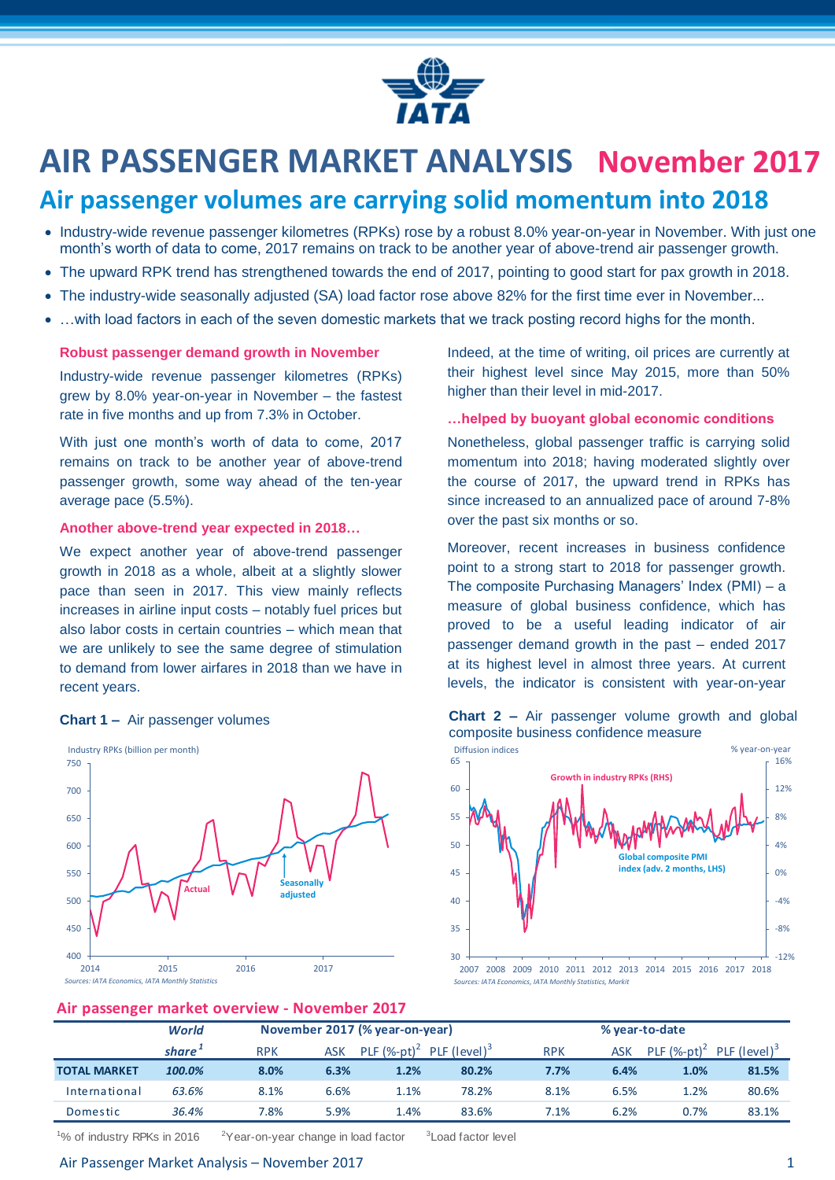

# **AIR PASSENGER MARKET ANALYSIS November 2017**

# **Air passenger volumes are carrying solid momentum into 2018**

- Industry-wide revenue passenger kilometres (RPKs) rose by a robust 8.0% year-on-year in November. With just one month's worth of data to come, 2017 remains on track to be another year of above-trend air passenger growth.
- The upward RPK trend has strengthened towards the end of 2017, pointing to good start for pax growth in 2018.
- The industry-wide seasonally adjusted (SA) load factor rose above 82% for the first time ever in November...
- ... with load factors in each of the seven domestic markets that we track posting record highs for the month.

#### **Robust passenger demand growth in November**

Industry-wide revenue passenger kilometres (RPKs) grew by 8.0% year-on-year in November – the fastest rate in five months and up from 7.3% in October.

With just one month's worth of data to come, 2017 remains on track to be another year of above-trend passenger growth, some way ahead of the ten-year average pace (5.5%).

#### **Another above-trend year expected in 2018…**

We expect another year of above-trend passenger growth in 2018 as a whole, albeit at a slightly slower pace than seen in 2017. This view mainly reflects increases in airline input costs – notably fuel prices but also labor costs in certain countries – which mean that we are unlikely to see the same degree of stimulation to demand from lower airfares in 2018 than we have in recent years.



Indeed, at the time of writing, oil prices are currently at their highest level since May 2015, more than 50% higher than their level in mid-2017.

#### **…helped by buoyant global economic conditions**

Nonetheless, global passenger traffic is carrying solid momentum into 2018; having moderated slightly over the course of 2017, the upward trend in RPKs has since increased to an annualized pace of around 7-8% over the past six months or so.

Moreover, recent increases in business confidence point to a strong start to 2018 for passenger growth. The composite Purchasing Managers' Index (PMI) – a measure of global business confidence, which has proved to be a useful leading indicator of air passenger demand growth in the past – ended 2017 at its highest level in almost three years. At current levels, the indicator is consistent with year-on-year



#### **Chart 1** – Air passenger volumes **Chart 2** – Air passenger volume growth and global composite business confidence measure

#### **Air passenger market overview - November 2017**

| -                   |                    |            |                                |                |                          |            |                |                |                          |  |
|---------------------|--------------------|------------|--------------------------------|----------------|--------------------------|------------|----------------|----------------|--------------------------|--|
|                     | World              |            | November 2017 (% year-on-year) |                |                          |            | % year-to-date |                |                          |  |
|                     | share <sup>+</sup> | <b>RPK</b> | <b>ASK</b>                     | PLF $(%-pt)^2$ | PLF (level) <sup>3</sup> | <b>RPK</b> | <b>ASK</b>     | PLF $(%-pt)^2$ | PLF (level) <sup>3</sup> |  |
| <b>TOTAL MARKET</b> | 100.0%             | 8.0%       | 6.3%                           | 1.2%           | 80.2%                    | 7.7%       | 6.4%           | 1.0%           | 81.5%                    |  |
| International       | 63.6%              | 8.1%       | 6.6%                           | 1.1%           | 78.2%                    | 8.1%       | 6.5%           | 1.2%           | 80.6%                    |  |
| Domestic            | 36.4%              | 7.8%       | 5.9%                           | 1.4%           | 83.6%                    | 7.1%       | 6.2%           | 0.7%           | 83.1%                    |  |
|                     |                    |            |                                |                |                          |            |                |                |                          |  |

<sup>1</sup>% of industry RPKs in 2016  $2^2$ Year-on-year change in load factor

Air Passenger Market Analysis – November 2017 1

<sup>3</sup> Load factor level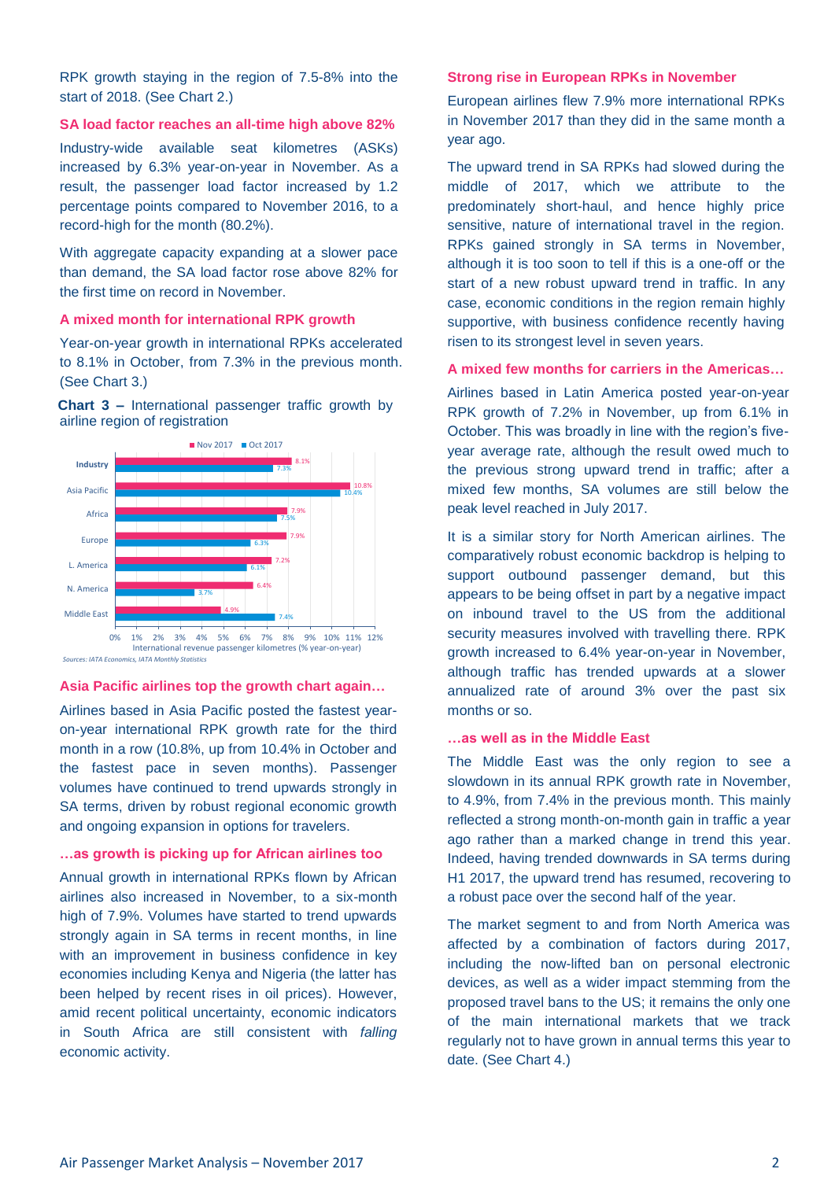RPK growth staying in the region of 7.5-8% into the start of 2018. (See Chart 2.)

#### **SA load factor reaches an all-time high above 82%**

Industry-wide available seat kilometres (ASKs) increased by 6.3% year-on-year in November. As a result, the passenger load factor increased by 1.2 percentage points compared to November 2016, to a record-high for the month (80.2%).

With aggregate capacity expanding at a slower pace than demand, the SA load factor rose above 82% for the first time on record in November.

#### **A mixed month for international RPK growth**

Year-on-year growth in international RPKs accelerated to 8.1% in October, from 7.3% in the previous month. (See Chart 3.)

**Chart 3 –** International passenger traffic growth by airline region of registration



#### **Asia Pacific airlines top the growth chart again…**

Airlines based in Asia Pacific posted the fastest yearon-year international RPK growth rate for the third month in a row (10.8%, up from 10.4% in October and the fastest pace in seven months). Passenger volumes have continued to trend upwards strongly in SA terms, driven by robust regional economic growth and ongoing expansion in options for travelers.

#### **…as growth is picking up for African airlines too**

Annual growth in international RPKs flown by African airlines also increased in November, to a six-month high of 7.9%. Volumes have started to trend upwards strongly again in SA terms in recent months, in line with an improvement in business confidence in key economies including Kenya and Nigeria (the latter has been helped by recent rises in oil prices). However, amid recent political uncertainty, economic indicators in South Africa are still consistent with *falling* economic activity.

#### **Strong rise in European RPKs in November**

European airlines flew 7.9% more international RPKs in November 2017 than they did in the same month a year ago.

The upward trend in SA RPKs had slowed during the middle of 2017, which we attribute to the predominately short-haul, and hence highly price sensitive, nature of international travel in the region. RPKs gained strongly in SA terms in November, although it is too soon to tell if this is a one-off or the start of a new robust upward trend in traffic. In any case, economic conditions in the region remain highly supportive, with business confidence recently having risen to its strongest level in seven years.

#### **A mixed few months for carriers in the Americas…**

Airlines based in Latin America posted year-on-year RPK growth of 7.2% in November, up from 6.1% in October. This was broadly in line with the region's fiveyear average rate, although the result owed much to the previous strong upward trend in traffic; after a mixed few months, SA volumes are still below the peak level reached in July 2017.

It is a similar story for North American airlines. The comparatively robust economic backdrop is helping to support outbound passenger demand, but this appears to be being offset in part by a negative impact on inbound travel to the US from the additional security measures involved with travelling there. RPK growth increased to 6.4% year-on-year in November, although traffic has trended upwards at a slower annualized rate of around 3% over the past six months or so.

#### **…as well as in the Middle East**

The Middle East was the only region to see a slowdown in its annual RPK growth rate in November, to 4.9%, from 7.4% in the previous month. This mainly reflected a strong month-on-month gain in traffic a year ago rather than a marked change in trend this year. Indeed, having trended downwards in SA terms during H1 2017, the upward trend has resumed, recovering to a robust pace over the second half of the year.

The market segment to and from North America was affected by a combination of factors during 2017, including the now-lifted ban on personal electronic devices, as well as a wider impact stemming from the proposed travel bans to the US; it remains the only one of the main international markets that we track regularly not to have grown in annual terms this year to date. (See Chart 4.)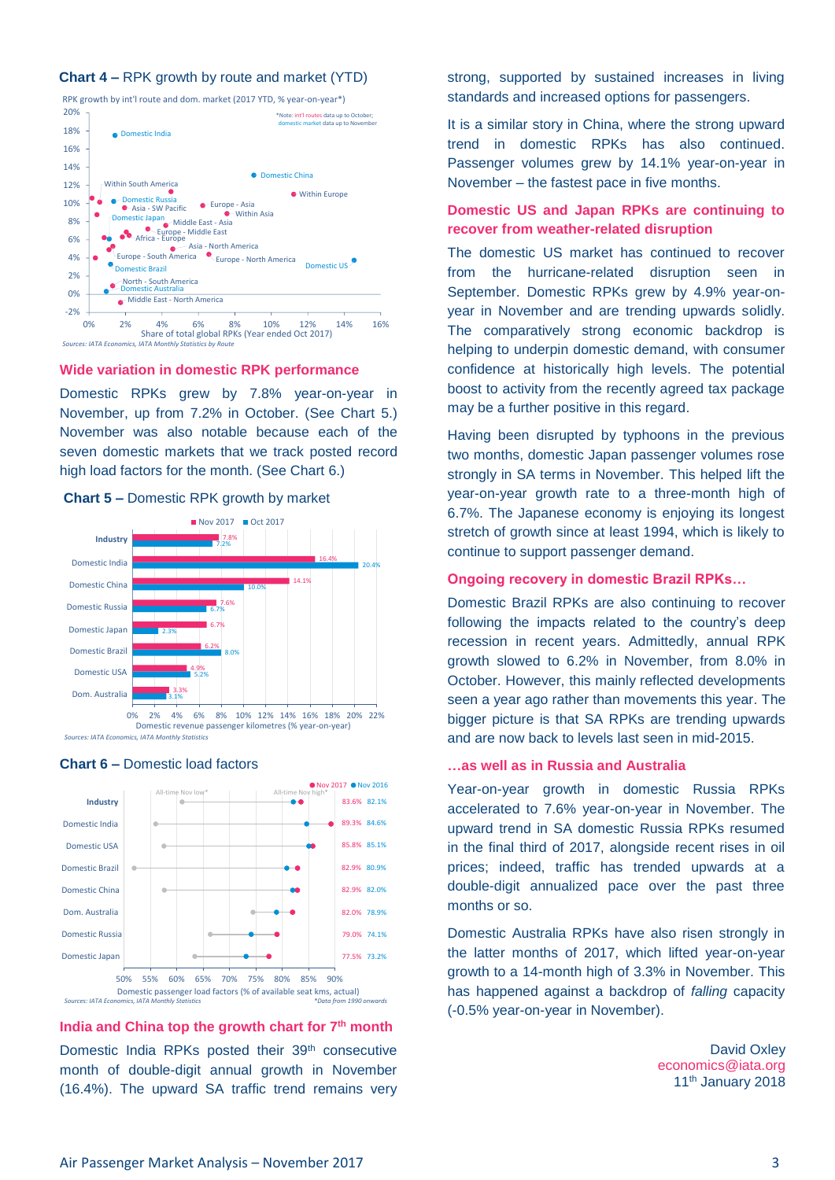#### **Chart 4 –** RPK growth by route and market (YTD)

**C** Domestic India 18% 20% RPK growth by int'l route and dom. market (2017 YTD, % year-on-year\*) \*Note: int'l routes data up to Octobe domestic market data up to November



**Wide variation in domestic RPK performance** 

Domestic RPKs grew by 7.8% year-on-year in November, up from 7.2% in October. (See Chart 5.) November was also notable because each of the seven domestic markets that we track posted record high load factors for the month. (See Chart 6.)







**India and China top the growth chart for 7th month**

Domestic India RPKs posted their 39<sup>th</sup> consecutive month of double-digit annual growth in November (16.4%). The upward SA traffic trend remains very strong, supported by sustained increases in living standards and increased options for passengers.

It is a similar story in China, where the strong upward trend in domestic RPKs has also continued. Passenger volumes grew by 14.1% year-on-year in November – the fastest pace in five months.

#### **Domestic US and Japan RPKs are continuing to recover from weather-related disruption**

The domestic US market has continued to recover from the hurricane-related disruption seen in September. Domestic RPKs grew by 4.9% year-onyear in November and are trending upwards solidly. The comparatively strong economic backdrop is helping to underpin domestic demand, with consumer confidence at historically high levels. The potential boost to activity from the recently agreed tax package may be a further positive in this regard.

Having been disrupted by typhoons in the previous two months, domestic Japan passenger volumes rose strongly in SA terms in November. This helped lift the year-on-year growth rate to a three-month high of 6.7%. The Japanese economy is enjoying its longest stretch of growth since at least 1994, which is likely to continue to support passenger demand.

#### **Ongoing recovery in domestic Brazil RPKs…**

Domestic Brazil RPKs are also continuing to recover following the impacts related to the country's deep recession in recent years. Admittedly, annual RPK growth slowed to 6.2% in November, from 8.0% in October. However, this mainly reflected developments seen a year ago rather than movements this year. The bigger picture is that SA RPKs are trending upwards and are now back to levels last seen in mid-2015.

#### **…as well as in Russia and Australia**

Year-on-year growth in domestic Russia RPKs accelerated to 7.6% year-on-year in November. The upward trend in SA domestic Russia RPKs resumed in the final third of 2017, alongside recent rises in oil prices; indeed, traffic has trended upwards at a double-digit annualized pace over the past three months or so.

Domestic Australia RPKs have also risen strongly in the latter months of 2017, which lifted year-on-year growth to a 14-month high of 3.3% in November. This has happened against a backdrop of *falling* capacity (-0.5% year-on-year in November).

> David Oxley [economics@iata.org](mailto:economics@iata.org) 11<sup>th</sup> January 2018